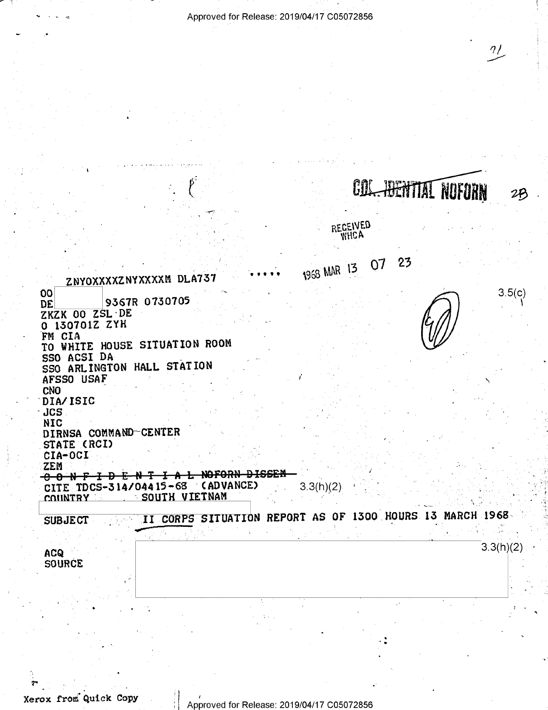Approved for Release: 2019/04/17 C05072856

 $\eta$ 

27

COL. HENTIAL NOFORN

|                                             |                                  |                                                          | RECEIVED    |          |           |
|---------------------------------------------|----------------------------------|----------------------------------------------------------|-------------|----------|-----------|
|                                             |                                  |                                                          | 1968 MAR 13 | 23<br>07 |           |
|                                             | ZNYOXXXXZNYXXXXM DLA737          |                                                          |             |          |           |
| OO<br>DE<br>ZKZK 00 ZSL DE<br>0 130701Z ZYH | 9367R 0730705                    |                                                          |             |          | 3.5(c)    |
| FM CIA                                      | TO WHITE HOUSE SITUATION ROOM    |                                                          |             |          |           |
| SSO ACSI DA<br>AFSSO USAF                   | SSO ARLINGTON HALL STATION       |                                                          |             |          |           |
| CNO                                         |                                  |                                                          |             |          |           |
| DIA/ISIC                                    |                                  |                                                          |             |          |           |
| JCS                                         |                                  |                                                          |             |          |           |
| <b>NIC</b>                                  |                                  |                                                          |             |          |           |
|                                             | DIRNSA COMMAND-CENTER            |                                                          |             |          |           |
| STATE (RCI)                                 |                                  |                                                          |             |          |           |
| CIA-OCI<br><b>ZEM</b>                       |                                  |                                                          |             |          |           |
| <del>-8 0 N F</del>                         |                                  | <del>NOFORN DISSEN</del>                                 |             |          |           |
|                                             | CITE TDCS-314/04415-68 (ADVANCE) |                                                          | 3.3(h)(2)   |          |           |
| <b>COUNTRY</b>                              | SOUTH VIETNAM                    |                                                          |             |          |           |
|                                             |                                  |                                                          |             |          |           |
| <b>SUBJECT</b>                              |                                  | II CORPS SITUATION REPORT AS OF 1300 HOURS 13 MARCH 1968 |             |          |           |
|                                             |                                  |                                                          |             |          |           |
| <b>ACQ</b>                                  |                                  |                                                          |             |          | 3.3(h)(2) |
| <b>SOURCE</b>                               |                                  |                                                          |             |          |           |
|                                             |                                  |                                                          |             |          |           |
|                                             |                                  |                                                          |             |          |           |
|                                             |                                  |                                                          |             |          |           |
|                                             |                                  |                                                          |             |          |           |
|                                             |                                  |                                                          |             |          |           |
|                                             |                                  |                                                          |             |          |           |
|                                             |                                  |                                                          |             |          |           |
|                                             |                                  |                                                          |             |          |           |
|                                             |                                  |                                                          |             |          |           |
|                                             |                                  |                                                          |             |          |           |

Xerox from Quick Copy

 $\begin{matrix} 1 \\ 1 \\ 1 \end{matrix}$ 

Approved for Release: 2019/04/17 C05072856